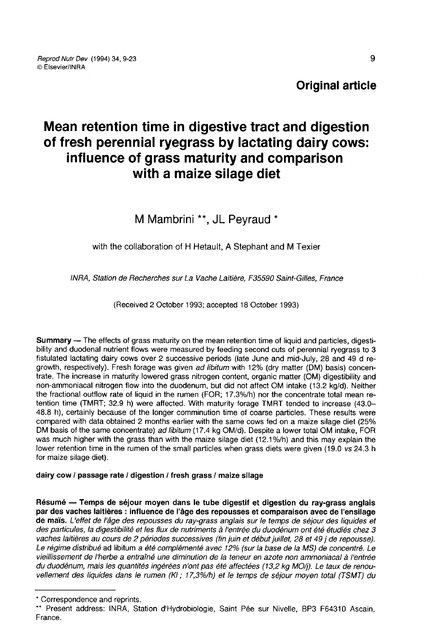Original article

# Mean retention time in digestive tract and digestion of fresh perennial ryegrass by lactating dairy cows: influence of grass maturity and comparison with a maize silage diet

M Mambrini \*\*, JL Peyraud \*

with the collaboration of H Hetault. A Stephant and M Texier

INRA, Station de Recherches sur La Vache Laitière, F35590 Saint-Gilles, France

(Received 2 October 1993; accepted 18 October 1993)

Summary ― The effects of grass maturity on the mean retention time of liquid and particles, digestibility and duodenal nutrient flows were measured by feeding second cuts of perennial ryegrass to 3 fistulated lactating dairy cows over 2 successive periods (late June and mid-July, 28 and 49 d regrowth, respectively). Fresh forage was given ad libitum with 12% (dry matter (DM) basis) concentrate. The increase in maturity lowered grass nitrogen content, organic matter (OM) digestibility and non-ammoniacal nitrogen flow into the duodenum, but did not affect OM intake (13.2 kg/d). Neither the fractional outflow rate of liquid in the rumen (FOR; 17.3%/h) nor the concentrate total mean retention time (TMRT; 32.9 h) were affected. With maturity forage TMRT tended to increase (43.0- 48.8 h), certainly because of the longer comminution time of coarse particles. These results were compared with data obtained 2 months earlier with the same cows fed on a maize silage diet (25% DM basis of the same concentrate) ad libitum (17.4 kg OM/d). Despite a lower total OM intake, FOR was much higher with the grass than with the maize silage diet (12.1%/h) and this may explain the lower retention time in the rumen of the small particles when grass diets were given (19.0 vs 24.3 h for maize silage diet).

dairy cow / passage rate / digestion / fresh grass / maize silage

Résumé ― Temps de séjour moyen dans le tube digestif et digestion du ray-grass anglais par des vaches laitières : influence de l'âge des repousses et comparaison avec de l'ensilage de maïs. L'effet de l'âge des repousses du ray-grass anglais sur le temps de séjour des liquides et des particules, la digestibilité et les flux de nutriments à l'entrée du duodénum ont été étudiés chez 3 vaches laitières au cours de 2 périodes successives (fin juin et début juillet, 28 et 49 j de repousse). Le régime distribué ad libitum a été complémenté avec 12% (sur la base de la MS) de concentré. Le vieillissement de l'herbe a entraîné une diminution de la teneur en azote non ammoniacal à l'entrée du duodénum, mais les quantités ingérées n'ont pas été affectées (13,2 kg MO/j). Le taux de renouvellement des liquides dans le rumen (KI ; 17,3%lh) et le temps de séjour moyen total (TSMT) du

<sup>\*</sup> Correspondence and reprints.

<sup>\*\*</sup> Present address: INRA, Station d'Hydrobiologie, Saint Pée sur Nivelle, BP3 F64310 Ascain, France.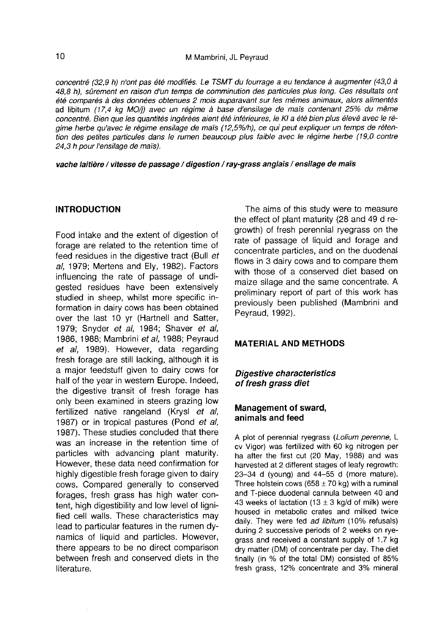concentré (32,9 h) n'ont pas été modifiés. Le TSMT du fourrage a eu tendance à augmenter (43,0 à 48,8 h), sûrement en raison d'un temps de comminution des particules plus long. Ces résultats ont été comparés à des données obtenues 2 mois auparavant sur les mêmes animaux, alors alimentés ad libitum (17,4 kg MO/j) avec un régime à base d'ensilage de maïs contenant 25% du même concentré. Bien que les quantités ingérées aient été inférieures, le KI a été bien plus élevé avec le régime herbe qu'avec le régime ensilage de mais (12,5%/h), ce qui peut expliquer un temps de rétention des petites particules dans le rumen beaucoup plus faible avec le régime herbe (19,0 contre 24,3 h pour l'ensilage de maïs).

vache laitière / vitesse de passage / digestion / ray-grass anglais / ensilage de maïs

### INTRODUCTION

Food intake and the extent of digestion of forage are related to the retention time of feed residues in the digestive tract (Bull et al, 1979; Mertens and Ely, 1982). Factors influencing the rate of passage of undigested residues have been extensively studied in sheep, whilst more specific information in dairy cows has been obtained over the last 10 yr (Hartnell and Satter, 1979; Snyder et al, 1984; Shaver et al, 1986, 1988; Mambrini et al, 1988; Peyraud et al, 1989). However, data regarding fresh forage are still lacking, although it is a major feedstuff given to dairy cows for half of the year in western Europe. Indeed, the digestive transit of fresh forage has only been examined in steers grazing low fertilized native rangeland (Krysl et al, 1987) or in tropical pastures (Pond et al, 1987). These studies concluded that there was an increase in the retention time of particles with advancing plant maturity. However, these data need confirmation for highly digestible fresh forage given to dairy cows. Compared generally to conserved forages, fresh grass has high water content, high digestibility and low level of lignified cell walls. These characteristics may lead to particular features in the rumen dynamics of liquid and particles. However, there appears to be no direct comparison between fresh and conserved diets in the literature.

The aims of this study were to measure the effect of plant maturity (28 and 49 d regrowth) of fresh perennial ryegrass on the rate of passage of liquid and forage and concentrate particles, and on the duodenal flows in 3 dairy cows and to compare them with those of a conserved diet based on maize silage and the same concentrate. A preliminary report of part of this work has previously been published (Mambrini and Peyraud, 1992).

## MATERIAL AND METHODS

## Digestive characteristics of fresh grass diet

#### Management of sward, animals and feed

A plot of perennial ryegrass (Lolium perenne, L cv Vigor) was fertilized with 60 kg nitrogen per ha after the first cut (20 May, 1988) and was harvested at 2 different stages of leafy regrowth: 23-34 d (young) and 44-55 d (more mature). Three holstein cows (658  $\pm$  70 kg) with a ruminal and T-piece duodenal cannula between 40 and 43 weeks of lactation (13  $\pm$  3 kg/d of milk) were housed in metabolic crates and milked twice daily. They were fed ad libitum (10% refusals) during 2 successive periods of 2 weeks on ryegrass and received a constant supply of 1.7 kg dry matter (DM) of concentrate per day. The diet finally (in % of the total DM) consisted of 85% fresh grass, 12% concentrate and 3% mineral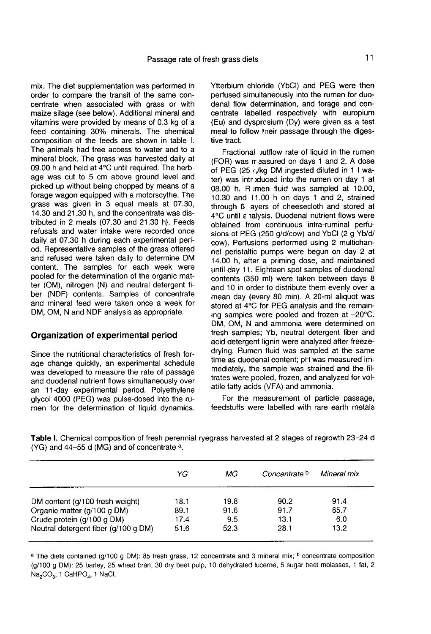mix. The diet supplementation was performed in order to compare the transit of the same concentrate when associated with grass or with maize silage (see below). Additional mineral and vitamins were provided by means of 0.3 kg of a feed containing 30% minerals. The chemical composition of the feeds are shown in table I. The animals had free access to water and to a mineral block. The grass was harvested daily at 09.00 h and held at 4°C until required. The herbage was cut to 5 cm above ground level and picked up without being chopped by means of a forage wagon equipped with a motorscythe. The grass was given in 3 equal meals at 07.30, 14.30 and 21.30 h, and the concentrate was distributed in 2 meals (07.30 and 21.30 h). Feeds refusals and water intake were recorded once daily at 07.30 h during each experimental period. Representative samples of the grass offered and refused were taken daily to determine DM content. The samples for each week were pooled for the determination of the organic matter (OM), nitrogen (N) and neutral detergent fiber (NDF) contents. Samples of concentrate and mineral feed were taken once a week for DM, OM, N and NDF analysis as appropriate.

#### Organization of experimental period

Since the nutritional characteristics of fresh forage change quickly, an experimental schedule was developed to measure the rate of passage and duodenal nutrient flows simultaneously over an 11-day experimental period. Polyethylene glycol 4000 (PEG) was pulse-dosed into the rumen for the determination of liquid dynamics.

Ytterbium chloride (YbCl) and PEG were then perfused simultaneously into the rumen for duodenal flow determination, and forage and concentrate labelled respectively with europium (Eu) and dysprcsium (Dy) were given as a test meal to follow tneir passage through the digestive tract.

Fractional *jutflow* rate of liquid in the rumen (FOR) was rr aasured on days 1 and 2. A dose of PEG (25  $\sqrt{kq}$  DM ingested diluted in 1 I water) was introduced into the rumen on day 1 at 08.00 h. R imen fluid was sampled at 10.00, 10.30 and 11.00 h on days 1 and 2, strained through 6 ayers of cheesecloth and stored at 4°C until a nalysis. Duodenal nutrient flows were obtained from continuous intra-ruminal perfusions of PEG (250 g/d/cow) and YbCl (2 g Yb/d/ cow). Perfusions performed using 2 multichannel peristaltic pumps were begun on day 2 at 14.00 h, after a priming dose, and maintained until day 11. Eighteen spot samples of duodenal contents (350 ml) were taken between days 8 and 10 in order to distribute them evenly over a mean day (every 80 min). A 20-ml aliquot was stored at 4°C for PEG analysis and the remaining samples were pooled and frozen at -20°C. DM, OM, N and ammonia were determined on fresh samples; Yb, neutral detergent fiber and acid detergent lignin were analyzed after freezedrying. Rumen fluid was sampled at the same time as duodenal content; pH was measured immediately, the sample was strained and the filtrates were pooled, frozen, and analyzed for volatile fatty acids (VFA) and ammonia.

For the measurement of particle passage, feedstuffs were labelled with rare earth metals

| YG   | МG   | Concentrate <sup>b</sup> | Mineral mix |  |
|------|------|--------------------------|-------------|--|
| 18.1 | 19.8 | 90.2                     | 91.4        |  |
| 89.1 | 91.6 | 91.7                     | 65.7        |  |
| 17.4 | 9.5  | 13.1                     | 6.0         |  |
| 51.6 | 52.3 | 28.1                     | 13.2        |  |
|      |      |                          |             |  |

Table I. Chemical composition of fresh perennial ryegrass harvested at 2 stages of regrowth 23-24 d (YG) and 44-55 d (MG) and of concentrate a.

a The diets contained (g/100 g DM): 85 fresh grass, 12 concentrate and 3 mineral mix; <sup>b</sup> concentrate composition (g/100 g DM): 25 barley, 25 wheat bran, 30 dry beet pulp, 10 dehydrated lucerne, 5 sugar beet molasses, 1 fat, 2 Na<sub>2</sub>CO<sub>2</sub>, 1 CaHPO<sub>4</sub>, 1 NaCl.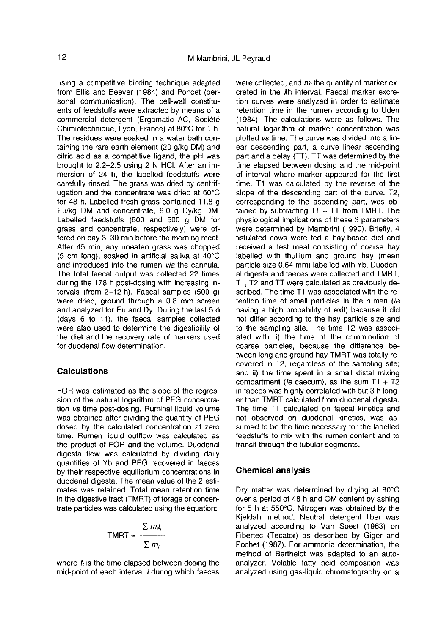using a competitive binding technique adapted from Ellis and Beever (1984) and Poncet (personal communication). The cell-wall constituents of feedstuffs were extracted by means of a commercial detergent (Ergamatic AC, Société Chimiotechnique, Lyon, France) at 80°C for 1 h. The residues were soaked in a water bath containing the rare earth element (20 g/kg DM) and citric acid as a competitive ligand, the pH was brought to 2.2-2.5 using 2 N HCI. After an immersion of 24 h, the labelled feedstuffs were carefully rinsed. The grass was dried by centrifugation and the concentrate was dried at 60°C for 48 h. Labelled fresh grass contained 11.8 g Eu/kg DM and concentrate, 9.0 g Dy/kg DM. Labelled feedstuffs (600 and 500 g DM for grass and concentrate, respectively) were offered on day 3, 30 min before the morning meal. After 45 min, any uneaten grass was chopped (5 cm long), soaked in artificial saliva at 40°C and introduced into the rumen via the cannula. The total faecal output was collected 22 times during the 178 h post-dosing with increasing intervals (from 2-12 h). Faecal samples (500 g) were dried, ground through a 0.8 mm screen and analyzed for Eu and Dy. During the last 5 d (days  $6$  to 11), the faecal samples collected were also used to determine the digestibility of the diet and the recovery rate of markers used for duodenal flow determination.

## **Calculations**

FOR was estimated as the slope of the regression of the natural logarithm of PEG concentration vs time post-dosing. Ruminal liquid volume was obtained after dividing the quantity of PEG dosed by the calculated concentration at zero time. Rumen liquid outflow was calculated as the product of FOR and the volume. Duodenal digesta flow was calculated by dividing daily quantities of Yb and PEG recovered in faeces by their respective equilibrium concentrations in duodenal digesta. The mean value of the 2 estimates was retained. Total mean retention time in the digestive tract (TMRT) of forage or concentrate particles was calculated using the equation:

$$
TMRT = \frac{\sum m_i t_i}{\sum m_i}
$$

where  $t_i$  is the time elapsed between dosing the mid-point of each interval i during which faeces were collected, and  $m_i$  the quantity of marker excreted in the *i*th interval. Faecal marker excretion curves were analyzed in order to estimate retention time in the rumen according to Uden (1984). The calculations were as follows. The natural logarithm of marker concentration was plotted vs time. The curve was divided into a linear descending part, a curve linear ascending part and a delay (TT). TT was determined by the time elapsed between dosing and the mid-point of interval where marker appeared for the first time. T1 was calculated by the reverse of the slope of the descending part of the curve. T2, corresponding to the ascending part, was obtained by subtracting  $T1 + TT$  from TMRT. The physiological implications of these 3 parameters were determined by Mambrini (1990). Briefly, 4 fistulated cows were fed a hay-based diet and received a test meal consisting of coarse hay labelled with thullium and ground hay (mean particle size 0.64 mm) labelled with Yb. Duodenal digesta and faeces were collected and TMRT, T1, T2 and TT were calculated as previously described. The time T1 was associated with the retention time of small particles in the rumen (ie having a high probability of exit) because it did not differ according to the hay particle size and to the sampling site. The time T2 was associated with: i) the time of the comminution of coarse particles, because the difference between long and ground hay TMRT was totally recovered in T2, regardless of the sampling site; and ii) the time spent in a small distal mixing compartment (*ie* caecum), as the sum  $T1 + T2$  in faeces was highly correlated with but 3 h longer than TMRT calculated from duodenal digesta. The time TT calculated on faecal kinetics and not observed on duodenal kinetics, was assumed to be the time necessary for the labelled feedstuffs to mix with the rumen content and to transit through the tubular segments.

## Chemical analysis

Dry matter was determined by drying at 80°C over a period of 48 h and OM content by ashing for 5 h at 550°C. Nitrogen was obtained by the Kjeldahl method. Neutral detergent fiber was analyzed according to Van Soest (1963) on Fibertec (Tecator) as described by Giger and Pochet (1987). For ammonia determination, the method of Berthelot was adapted to an autoanalyzer. Volatile fatty acid composition was analyzed using gas-liquid chromatography on a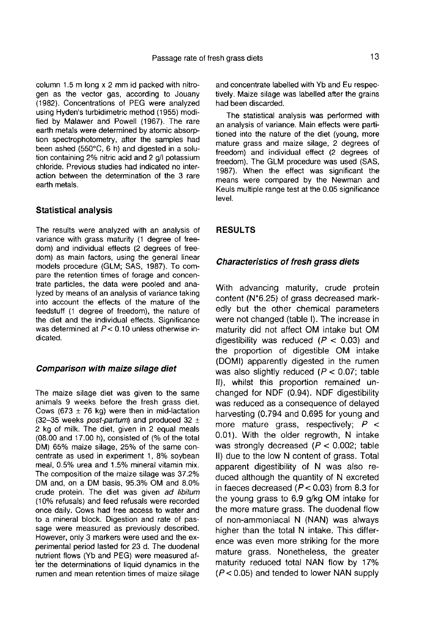column 1.5 m long x 2 mm id packed with nitrogen as the vector gas, according to Jouany (1982). Concentrations of PEG were analyzed using Hyden's turbidimetric method (1955) modified by Malawer and Powell (1967). The rare earth metals were determined by atomic absorption spectrophotometry, after the samples had been ashed (550°C, 6 h) and digested in a solution containing 2% nitric acid and 2 g/l potassium chloride. Previous studies had indicated no interaction between the determination of the 3 rare earth metals.

#### Statistical analysis

The results were analyzed with an analysis of variance with grass maturity (1 degree of freedom) and individual effects (2 degrees of freedom) as main factors, using the general linear models procedure (GLM; SAS, 1987). To compare the retention times of forage and concentrate particles, the data were pooled and analyzed by means of an analysis of variance taking into account the effects of the mature of the feedstuff (1 degree of freedom), the nature of the diet and the individual effects. Significance was determined at  $P < 0.10$  unless otherwise indicated.

#### Comparison with maize silage diet

The maize silage diet was given to the same animals 9 weeks before the fresh grass diet. Cows (673  $\pm$  76 kg) were then in mid-lactation (32-35 weeks *post-partum*) and produced 32  $\pm$ 2 kg of milk. The diet, given in 2 equal meals (08.00 and 17.00 h), consisted of (% of the total DM) 65% maize silage, 25% of the same concentrate as used in experiment 1, 8% soybean meal, 0.5% urea and 1.5% mineral vitamin mix. The composition of the maize silage was 37.2% DM and, on a DM basis, 95.3% OM and 8.0% crude protein. The diet was given ad libitum (10% refusals) and feed refusals were recorded once daily. Cows had free access to water and to a mineral block. Digestion and rate of passage were measured as previously described. However, only 3 markers were used and the experimental period lasted for 23 d. The duodenal nutrient flows (Yb and PEG) were measured after the determinations of liquid dynamics in the rumen and mean retention times of maize silage and concentrate labelled with Yb and Eu respectively. Maize silage was labelled after the grains had been discarded.

The statistical analysis was performed with an analysis of variance. Main effects were partitioned into the nature of the diet (young, more mature grass and maize silage, 2 degrees of freedom) and individual effect (2 degrees of freedom). The GLM procedure was used (SAS, 1987). When the effect was significant the means were compared by the Newman and Keuls multiple range test at the 0.05 significance level.

#### RESULTS

#### Characteristics of fresh grass diets

With advancing maturity, crude protein Characteristics of fresh grass diets<br>With advancing maturity, crude protein<br>content (N\*6.25) of grass decreased mark-<br>edly but the other chemical parameters edly but the other chemical parameters were not changed (table I). The increase in maturity did not affect OM intake but OM digestibility was reduced  $(P < 0.03)$  and the proportion of digestible OM intake (DOMI) apparently digested in the rumen was also slightly reduced  $(P < 0.07$ ; table II), whilst this proportion remained unchanged for NDF (0.94). NDF digestibility was reduced as a consequence of delayed harvesting (0.794 and 0.695 for young and more mature grass, respectively;  $P <$ 0.01). With the older regrowth, N intake was strongly decreased  $(P < 0.002$ ; table II) due to the low N content of grass. Total apparent digestibility of N was also reduced although the quantity of N excreted in faeces decreased  $(P < 0.03)$  from 8.3 for the young grass to 6.9 g/kg OM intake for the more mature grass. The duodenal flow of non-ammoniacal N (NAN) was always higher than the total N intake. This difference was even more striking for the more mature grass. Nonetheless, the greater maturity reduced total NAN flow by 17%  $(P< 0.05)$  and tended to lower NAN supply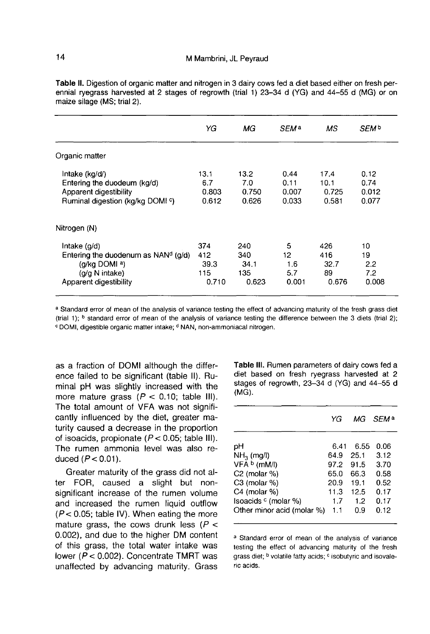|                                                 | YG          | МG          | SEM <sup>a</sup> | <b>MS</b>    | SEM <sup>b</sup> |
|-------------------------------------------------|-------------|-------------|------------------|--------------|------------------|
| Organic matter                                  |             |             |                  |              |                  |
| Intake (kg/d/)<br>Entering the duodeum (kg/d)   | 13.1<br>6.7 | 13.2<br>7.0 | 0.44<br>0.11     | 17.4<br>10.1 | 0.12<br>0.74     |
| Apparent digestibility                          | 0.803       | 0.750       | 0.007            | 0.725        | 0.012            |
| Ruminal digestion (kg/kg DOMI °)                | 0.612       | 0.626       | 0.033            | 0.581        | 0.077            |
| Nitrogen (N)                                    |             |             |                  |              |                  |
| Intake $(q/d)$                                  | 374         | 240         | 5                | 426          | 10               |
| Entering the duodenum as NAN <sup>d</sup> (g/d) | 412         | 340         | 12.              | 416          | 19               |
| (g/kg DOMI a)                                   | 39.3        | 34.1        | 1.6              | 32.7         | 2.2              |
| (g/g N intake)                                  | 115         | 135         | 5.7              | 89           | 7.2              |
| Apparent digestibility                          | 0.710       | 0.623       | 0.001            | 0.676        | 0.008            |

Table II. Digestion of organic matter and nitrogen in 3 dairy cows fed a diet based either on fresh perennial ryegrass harvested at 2 stages of regrowth (trial 1) 23-34 d (YG) and 44-55 d (MG) or on maize silage (MS; trial 2).

a Standard error of mean of the analysis of variance testing the effect of advancing maturity of the fresh grass diet (trial 1); <sup>b</sup> standard error of mean of the analysis of variance testing the difference between the 3 diets (trial 2); <sup>c</sup> DOMI, digestible organic matter intake; <sup>d</sup> NAN, non-ammoniacal nitrogen.

as a fraction of DOMI although the difference failed to be significant (table II). Ruminal pH was slightly increased with the more mature grass  $(P < 0.10$ ; table III). The total amount of VFA was not significantly influenced by the diet, greater maturity caused a decrease in the proportion of isoacids, propionate ( $P < 0.05$ ; table III). The rumen ammonia level was also reduced  $(P < 0.01)$ .

Greater maturity of the grass did not alter FOR, caused a slight but nonsignificant increase of the rumen volume and increased the rumen liquid outflow  $(P < 0.05$ ; table IV). When eating the more mature grass, the cows drunk less ( $P$  < 0.002), and due to the higher DM content of this grass, the total water intake was lower ( $P < 0.002$ ). Concentrate TMRT was unaffected by advancing maturity. Grass Table III. Rumen parameters of dairy cows fed a diet based on fresh ryegrass harvested at 2 stages of regrowth, 23-34 d (YG) and 44-55 d  $(MG)$ .

|                                 | YG   | МG   | <i>SEM</i> <sup>a</sup> |
|---------------------------------|------|------|-------------------------|
|                                 |      |      |                         |
| pH                              | 6.41 | 6.55 | 0.06                    |
| $NH3$ (mg/l)                    | 64.9 | 25.1 | 3.12                    |
| VFA b (mM/l)                    | 97.2 | 91.5 | 3.70                    |
| $C2$ (molar %)                  | 65.0 | 66.3 | 0.58                    |
| $C3$ (molar %)                  | 20.9 | 19.1 | 0.52                    |
| C4 (molar %)                    | 11.3 | 12.5 | 0.17                    |
| Isoacids <sup>c</sup> (molar %) | 17   | 1.2  | 0.17                    |
| Other minor acid (molar %)      | 1.1  | 0.9  | 0.12                    |

a Standard error of mean of the analysis of variance testing the effect of advancing maturity of the fresh grass diet; <sup>b</sup> volatile fatty acids; <sup>c</sup> isobutyric and isovaleric acids.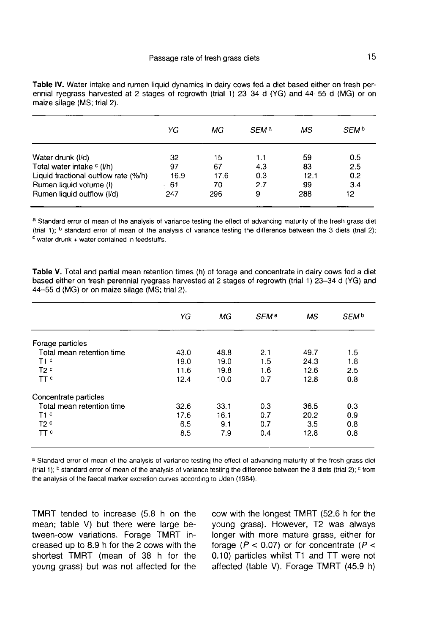|  |                             |  | Table IV. Water intake and rumen liquid dynamics in dairy cows fed a diet based either on fresh per- |  |  |  |  |
|--|-----------------------------|--|------------------------------------------------------------------------------------------------------|--|--|--|--|
|  |                             |  | ennial ryegrass harvested at 2 stages of regrowth (trial 1) 23–34 d (YG) and 44–55 d (MG) or on      |  |  |  |  |
|  | maize silage (MS; trial 2). |  |                                                                                                      |  |  |  |  |

|                                       | YG    | МG   | SEM <sup>a</sup> | мs   | SEM <sup>b</sup> |
|---------------------------------------|-------|------|------------------|------|------------------|
| Water drunk (I/d)                     | 32    | 15   | 1.1              | 59   | 0.5              |
| Total water intake <sup>c</sup> (I/h) | 97    | 67   | 4.3              | 83   | 2.5              |
| Liquid fractional outflow rate (%/h)  | 16.9  | 17.6 | 0.3              | 12.1 | 0.2              |
| Rumen liquid volume (I)               | $-61$ | 70   | 2.7              | 99   | 3.4              |
| Rumen liquid outflow (I/d)            | 247   | 296  | 9                | 288  | 12.              |

a Standard error of mean of the analysis of variance testing the effect of advancing maturity of the fresh grass diet (trial 1); <sup>b</sup> standard error of mean of the analysis of variance testing the difference between the 3 diets (trial 2);  $c$  water drunk  $+$  water contained in feedstuffs.

| Table V. Total and partial mean retention times (h) of forage and concentrate in dairy cows fed a diet |  |  |  |
|--------------------------------------------------------------------------------------------------------|--|--|--|
| based either on fresh perennial ryegrass harvested at 2 stages of regrowth (trial 1) 23–34 d (YG) and  |  |  |  |
| 44-55 d (MG) or on maize silage (MS; trial 2).                                                         |  |  |  |
|                                                                                                        |  |  |  |

|                           | YG   | МG   | SEM <sup>a</sup> | МS   | SEM <sup>b</sup> |
|---------------------------|------|------|------------------|------|------------------|
| Forage particles          |      |      |                  |      |                  |
| Total mean retention time | 43.0 | 48.8 | 2.1              | 49.7 | 1.5              |
| T1 <sup>c</sup>           | 19.0 | 19.0 | 1.5              | 24.3 | 1.8              |
| T2 <sup>c</sup>           | 11.6 | 19.8 | 1.6              | 12.6 | 2.5              |
| TT c                      | 12.4 | 10.0 | 0.7              | 12.8 | 0.8              |
| Concentrate particles     |      |      |                  |      |                  |
| Total mean retention time | 32.6 | 33.1 | 0.3              | 36.5 | 0.3              |
| T1 <sup>c</sup>           | 17.6 | 16.1 | 0.7              | 20.2 | 0.9              |
| T2 <sup>c</sup>           | 6.5  | 9.1  | 0.7              | 3.5  | 0.8              |
| <b>TT</b> <sup>c</sup>    | 8.5  | 7.9  | 0.4              | 12.8 | 0.8              |

a Standard error of mean of the analysis of variance testing the effect of advancing maturity of the fresh grass diet (trial 1); <sup>b</sup> standard error of mean of the analysis of variance testing the difference between the 3 diets (trial 2); <sup>c</sup> from the analysis of the faecal marker excretion curves according to Uden (1984).

TMRT tended to increase (5.8 h on the mean; table V) but there were large between-cow variations. Forage TMRT increased up to 8.9 h for the 2 cows with the shortest TMRT (mean of 38 h for the young grass) but was not affected for the

cow with the longest TMRT (52.6 h for the young grass). However, T2 was always longer with more mature grass, either for forage ( $P < 0.07$ ) or for concentrate ( $P <$ 0.10) particles whilst T1 and TT were not affected (table V). Forage TMRT (45.9 h)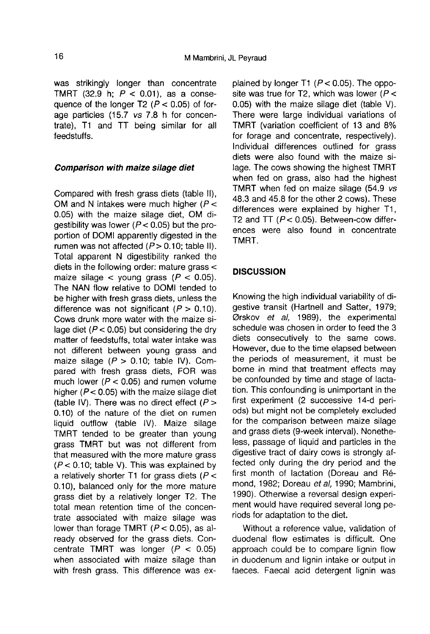was strikingly longer than concentrate TMRT (32.9 h;  $P < 0.01$ ), as a consequence of the longer T2 ( $P < 0.05$ ) of forage particles (15.7 vs 7.8 h for concentrate), T1 and TT being similar for all feedstuffs.

#### Comparison with maize silage diet

Compared with fresh grass diets (table II), OM and N intakes were much higher ( $P <$ 0.05) with the maize silage diet, OM digestibility was lower ( $P < 0.05$ ) but the proportion of DOMI apparently digested in the rumen was not affected  $(P> 0.10$ ; table II). Total apparent N digestibility ranked the diets in the following order: mature grass < maize silage  $\lt$  young grass ( $P \lt 0.05$ ). The NAN flow relative to DOMI tended to be higher with fresh grass diets, unless the difference was not significant  $(P > 0.10)$ . Cows drunk more water with the maize silage diet ( $P < 0.05$ ) but considering the dry matter of feedstuffs, total water intake was not different between young grass and maize silage  $(P > 0.10$ ; table IV). Compared with fresh grass diets, FOR was much lower ( $P < 0.05$ ) and rumen volume higher ( $P < 0.05$ ) with the maize silage diet (table IV). There was no direct effect  $(P >$ 0.10) of the nature of the diet on rumen liquid outflow (table IV). Maize silage TMRT tended to be greater than young grass TMRT but was not different from that measured with the more mature grass  $(P < 0.10$ ; table V). This was explained by a relatively shorter T1 for grass diets ( $P <$ 0.10), balanced only for the more mature grass diet by a relatively longer T2. The total mean retention time of the concentrate associated with maize silage was lower than forage TMRT  $(P < 0.05)$ , as already observed for the grass diets. Concentrate TMRT was longer  $(P < 0.05)$ when associated with maize silage than with fresh grass. This difference was explained by longer T1  $(P < 0.05)$ . The opposite was true for T2, which was lower ( $P$  < 0.05) with the maize silage diet (table V). There were large individual variations of TMRT (variation coefficient of 13 and 8% for forage and concentrate, respectively). Individual differences outlined for grass diets were also found with the maize silage. The cows showing the highest TMRT when fed on grass, also had the highest TMRT when fed on maize silage (54.9 vs 48.3 and 45.8 for the other 2 cows). These differences were explained by higher T1, T2 and TT  $(P < 0.05)$ . Between-cow differences were also found in concentrate TMRT.

## **DISCUSSION**

Knowing the high individual variability of digestive transit (Hartnell and Satter, 1979; Ørskov et al, 1989), the experimental schedule was chosen in order to feed the 3 diets consecutively to the same cows. However, due to the time elapsed between the periods of measurement, it must be borne in mind that treatment effects may be confounded by time and stage of lactation. This confounding is unimportant in the first experiment (2 successive 14-d periods) but might not be completely excluded for the comparison between maize silage and grass diets (9-week interval). Nonetheless, passage of liquid and particles in the digestive tract of dairy cows is strongly affected only during the dry period and the first month of lactation (Doreau and R6 mond, 1982; Doreau et al, 1990; Mambrini, 1990). Otherwise a reversal design experiment would have required several long periods for adaptation to the diet.

Without a reference value, validation of duodenal flow estimates is difficult. One approach could be to compare lignin flow in duodenum and lignin intake or output in faeces. Faecal acid detergent lignin was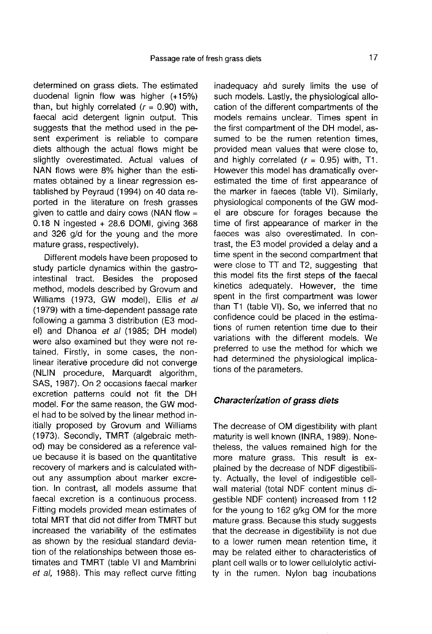determined on grass diets. The estimated duodenal lignin flow was higher (+15%) than, but highly correlated  $(r = 0.90)$  with, faecal acid detergent lignin output. This suggests that the method used in the pesent experiment is reliable to compare diets although the actual flows might be slightly overestimated. Actual values of NAN flows were 8% higher than the estimates obtained by a linear regression established by Peyraud (1994) on 40 data reported in the literature on fresh grasses given to cattle and dairy cows (NAN flow  $=$ 0.18 N ingested + 28.6 DOMI, giving 368 and 326 g/d for the young and the more mature grass, respectively).

Different models have been proposed to study particle dynamics within the gastrointestinal tract. Besides the proposed method, models described by Grovum and Williams (1973, GW model), Ellis et al (1979) with a time-dependent passage rate following a gamma 3 distribution (E3 model) and Dhanoa et al (1985; DH model) were also examined but they were not retained. Firstly, in some cases, the nonlinear iterative procedure did not converge (NLIN procedure, Marquardt algorithm, SAS, 1987). On 2 occasions faecal marker excretion patterns could not fit the DH model. For the same reason, the GW model had to be solved by the linear method initially proposed by Grovum and Williams (1973). Secondly, TMRT (algebraic method) may be considered as a reference value because it is based on the quantitative recovery of markers and is calculated without any assumption about marker excretion. In contrast, all models assume that faecal excretion is a continuous process. Fitting models provided mean estimates of total MRT that did not differ from TMRT but increased the variability of the estimates as shown by the residual standard deviation of the relationships between those estimates and TMRT (table VI and Mambrini et al, 1988). This may reflect curve fitting

inadequacy and surely limits the use of such models. Lastly, the physiological allocation of the different compartments of the models remains unclear. Times spent in the first compartment of the DH model, assumed to be the rumen retention times. provided mean values that were close to, and highly correlated  $(r = 0.95)$  with, T1. However this model has dramatically overestimated the time of first appearance of the marker in faeces (table VI). Similarly, physiological components of the GW model are obscure for forages because the time of first appearance of marker in the faeces was also overestimated. In contrast, the E3 model provided a delay and a time spent in the second compartment that were close to TT and T2, suggesting that this model fits the first steps of the faecal kinetics adequately. However, the time spent in the first compartment was lower than T1 (table VI). So, we inferred that no confidence could be placed in the estimations of rumen retention time due to their variations with the different models. We preferred to use the method for which we had determined the physiological implications of the parameters.

## Characterization of grass diets

The decrease of OM digestibility with plant maturity is well known (INRA, 1989). Nonetheless, the values remained high for the more mature grass. This result is explained by the decrease of NDF digestibility. Actually, the level of indigestible cellwall material (total NDF content minus digestible NDF content) increased from 112 for the young to 162 g/kg OM for the more mature grass. Because this study suggests that the decrease in digestibility is not due to a lower rumen mean retention time, it may be related either to characteristics of plant cell walls or to lower cellulolytic activity in the rumen. Nylon bag incubations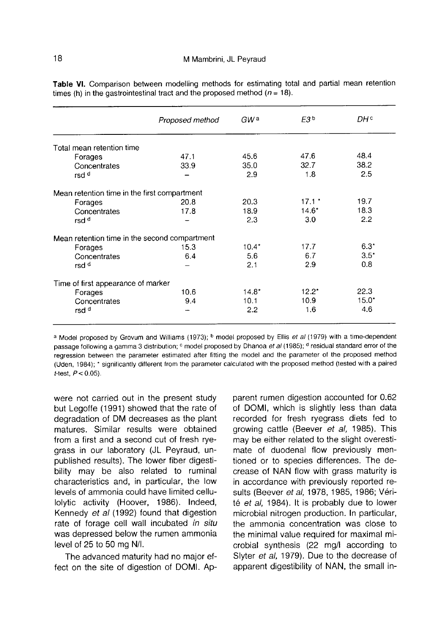|                                               | Proposed method | GW a    | F3 <sup>b</sup> | DH °          |
|-----------------------------------------------|-----------------|---------|-----------------|---------------|
| Total mean retention time                     |                 |         |                 |               |
| Forages                                       | 47.1            | 45.6    | 47.6            | 48.4          |
| Concentrates                                  | 33.9            | 35.0    | 32.7            | 38.2          |
| rsd <sup>d</sup>                              |                 | 2.9     | 1.8             | 2.5           |
| Mean retention time in the first compartment  |                 |         |                 |               |
| Forages                                       | 20.8            | 20.3    | $17.1*$         | 19.7          |
| Concentrates                                  | 17.8            | 18.9    | $14.6*$         | 18.3          |
| rsd <sup>d</sup>                              |                 | 2.3     | 3.0             | 2.2           |
| Mean retention time in the second compartment |                 |         |                 |               |
| Forages                                       | 15.3            | $10.4*$ | 17.7            | $6.3^{\circ}$ |
| Concentrates                                  | 6.4             | 5.6     | 6.7             | $3.5*$        |
| rsd <sup>d</sup>                              |                 | 2.1     | 2.9             | 0.8           |
| Time of first appearance of marker            |                 |         |                 |               |
| Forages                                       | 10.6            | $14.8*$ | $12.2^*$        | 22.3          |
| Concentrates                                  | 9.4             | 10.1    | 10.9            | $15.0*$       |
| rsd <sup>d</sup>                              |                 | 2.2     | 1.6             | 4.6           |
|                                               |                 |         |                 |               |

Table VI. Comparison between modelling methods for estimating total and partial mean retention times (h) in the gastrointestinal tract and the proposed method ( $n = 18$ ).

a Model proposed by Grovum and Williams (1973); <sup>b</sup> model proposed by Ellis et al (1979) with a time-dependent passage following a gamma 3 distribution; <sup>c</sup> model proposed by Dhanoa et al (1985); <sup>d</sup> residual standard error of the regression between the parameter estimated after fitting the model and the parameter of the proposed method (Uden, 1984); \* significantly different from the parameter calculated with the proposed method (tested with a paired *t*-test,  $P < 0.05$ ).

were not carried out in the present study but Legoffe (1991) showed that the rate of degradation of DM decreases as the plant matures. Similar results were obtained from a first and a second cut of fresh ryegrass in our laboratory (JL Peyraud, unpublished results). The lower fiber digestibility may be also related to ruminal characteristics and, in particular, the low levels of ammonia could have limited cellulolytic activity (Hoover, 1986). Indeed, Kennedy et al (1992) found that digestion rate of forage cell wall incubated in situ was depressed below the rumen ammonia level of 25 to 50 mg N/I.

The advanced maturity had no major effect on the site of digestion of DOMI. Apparent rumen digestion accounted for 0.62 of DOMI, which is slightly less than data recorded for fresh ryegrass diets fed to growing cattle (Beever et al, 1985). This may be either related to the slight overestimate of duodenal flow previously mentioned or to species differences. The decrease of NAN flow with grass maturity is in accordance with previously reported results (Beever et al, 1978, 1985, 1986; Vérité et al, 1984). It is probably due to lower microbial nitrogen production. In particular, the ammonia concentration was close to the minimal value required for maximal microbial synthesis (22 mg/l according to Slyter et al, 1979). Due to the decrease of apparent digestibility of NAN, the small in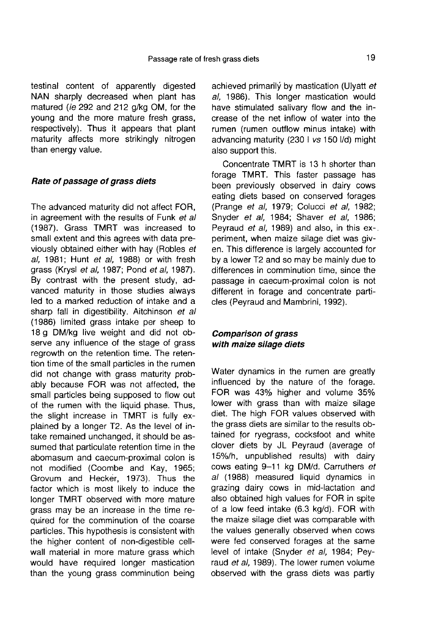testinal content of apparently digested NAN sharply decreased when plant has matured (ie 292 and 212 g/kg OM, for the young and the more mature fresh grass, respectively). Thus it appears that plant maturity affects more strikingly nitrogen than energy value.

## Rate of passage of grass diets

The advanced maturity did not affect FOR, in agreement with the results of Funk et all (1987). Grass TMRT was increased to small extent and this agrees with data previously obtained either with hay (Robles et al, 1981; Hunt et al, 1988) or with fresh grass (Krysl et al, 1987; Pond et al, 1987). By contrast with the present study, advanced maturity in those studies always led to a marked reduction of intake and a sharp fall in digestibility. Aitchinson et all (1986) limited grass intake per sheep to 18 g DM/kg live weight and did not observe any influence of the stage of grass regrowth on the retention time. The retention time of the small particles in the rumen did not change with grass maturity probably because FOR was not affected, the small particles being supposed to flow out of the rumen with the liquid phase. Thus, the slight increase in TMRT is fully explained by a longer T2. As the level of intake remained unchanged, it should be assumed that particulate retention time in the abomasum and caecum-proximal colon is not modified (Coombe and Kay, 1965; Grovum and Hecker, 1973). Thus the factor which is most likely to induce the longer TMRT observed with more mature grass may be an increase in the time required for the comminution of the coarse particles. This hypothesis is consistent with the higher content of non-digestible cellwall material in more mature grass which would have required longer mastication than the young grass comminution being

achieved primarily by mastication (Ulyatt et al, 1986). This longer mastication would have stimulated salivary flow and the increase of the net inflow of water into the rumen (rumen outflow minus intake) with advancing maturity (230 I vs 150 I/d) might also support this.

Concentrate TMRT is 13 h shorter than forage TMRT. This faster passage has been previously observed in dairy cows eating diets based on conserved forages (Prange et al, 1979; Colucci et al, 1982; Snyder et al, 1984; Shaver et al, 1986; Peyraud et al, 1989) and also, in this ex-. periment, when maize silage diet was giv en. This difference is largely accounted for by a lower T2 and so may be mainly due to differences in comminution time, since the passage in caecum-proximal colon is not different in forage and concentrate particles (Peyraud and Mambrini, 1992).

## Comparison of grass with maize silage diets

Water dynamics in the rumen are greatly influenced by the nature of the forage. FOR was 43% higher and volume 35% lower with grass than with maize silage diet. The high FOR values observed with the grass diets are similar to the results obtained for ryegrass, cocksfoot and white clover diets by JL Peyraud (average of 15%/h, unpublished results) with dairy cows eating 9-11 kg DM/d. Carruthers et al (1988) measured liquid dynamics in grazing dairy cows in mid-lactation and also obtained high values for FOR in spite of a low feed intake (6.3 kg/d). FOR with the maize silage diet was comparable with the values generally observed when cows were fed conserved forages at the same level of intake (Snyder et al, 1984; Peyraud et al. 1989). The lower rumen volume observed with the grass diets was partly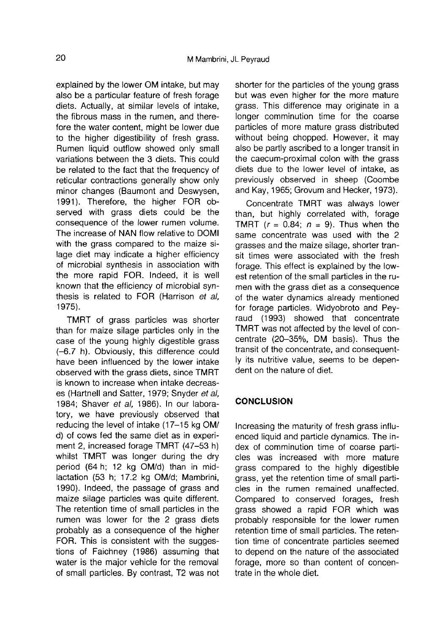explained by the lower OM intake, but may also be a particular feature of fresh forage diets. Actually, at similar levels of intake, the fibrous mass in the rumen, and therefore the water content, might be lower due to the higher digestibility of fresh grass. Rumen liquid outflow showed only small variations between the 3 diets. This could be related to the fact that the frequency of reticular contractions generally show only minor changes (Baumont and Deswysen, 1991). Therefore, the higher FOR observed with grass diets could be the consequence of the lower rumen volume. The increase of NAN flow relative to DOMI with the grass compared to the maize silage diet may indicate a higher efficiency of microbial synthesis in association with the more rapid FOR. Indeed, it is well known that the efficiency of microbial synthesis is related to FOR (Harrison et al. 1975).

TMRT of grass particles was shorter than for maize silage particles only in the case of the young highly digestible grass (-6.7 h). Obviously, this difference could have been influenced by the lower intake observed with the grass diets, since TMRT is known to increase when intake decreases (Hartnell and Satter, 1979; Snyder et al, 1984; Shaver et al, 1986). In our laboratory, we have previously observed that reducing the level of intake (17-15 kg OM/ d) of cows fed the same diet as in experiment 2, increased forage TMRT (47-53 h) whilst TMRT was longer during the dry period (64 h; 12 kg OM/d) than in midlactation (53 h; 17.2 kg OM/d; Mambrini, 1990). Indeed, the passage of grass and maize silage particles was quite different. The retention time of small particles in the rumen was lower for the 2 grass diets probably as a consequence of the higher FOR. This is consistent with the suggestions of Faichney (1986) assuming that water is the major vehicle for the removal of small particles. By contrast, T2 was not shorter for the particles of the young grass but was even higher for the more mature grass. This difference may originate in a longer comminution time for the coarse particles of more mature grass distributed without being chopped. However, it may also be partly ascribed to a longer transit in the caecum-proximal colon with the grass diets due to the lower level of intake, as previously observed in sheep (Coombe and Kay, 1965; Grovum and Hecker, 1973).

Concentrate TMRT was always lower than, but highly correlated with, forage TMRT  $(r = 0.84; n = 9)$ . Thus when the same concentrate was used with the 2 grasses and the maize silage, shorter transit times were associated with the fresh forage. This effect is explained by the lowest retention of the small particles in the rumen with the grass diet as a consequence of the water dynamics already mentioned for forage particles. Widyobroto and Peyraud (1993) showed that concentrate TMRT was not affected by the level of concentrate (20-35%, DM basis). Thus the transit of the concentrate, and consequently its nutritive value, seems to be dependent on the nature of diet.

# **CONCLUSION**

Increasing the maturity of fresh grass influenced liquid and particle dynamics. The index of comminution time of coarse particles was increased with more mature grass compared to the highly digestible grass, yet the retention time of small particles in the rumen remained unaffected. Compared to conserved forages, fresh grass showed a rapid FOR which was probably responsible for the lower rumen retention time of small particles. The retention time of concentrate particles seemed to depend on the nature of the associated forage, more so than content of concentrate in the whole diet.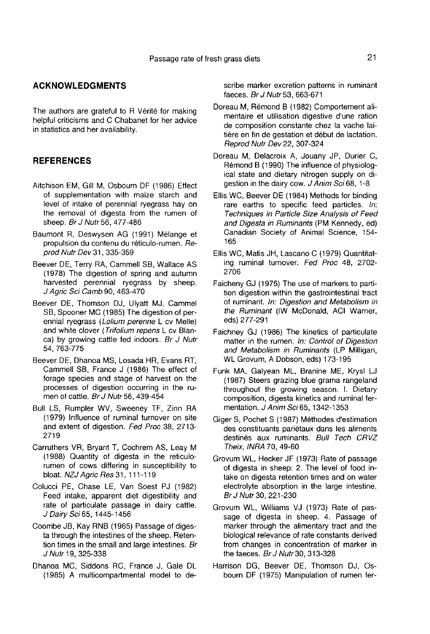## ACKNOWLEDGMENTS

The authors are grateful to R Vérité for making helpful criticisms and C Chabanet for her advice in statistics and her availability.

### **REFERENCES**

- Aitchison EM, Gill M, Osbourn DF (1986) Effect of supplementation with maize starch and level of intake of perennial ryegrass hay on the removal of digesta from the rumen of sheep. *Br J Nutr* 56, 477-486
- Baumont R, Deswysen AG (1991) Mélange et propulsion du contenu du réticulo-rumen. Reprod Nutr Dev 31, 335-359
- Beever DE, Terry RA, Cammell SB, Wallace AS (1978) The digestion of spring and autumn harvested perennial ryegrass by sheep.<br>J Agric Sci Camb 90, 463-470
- Beever DE, Thomson DJ, Ulyatt MJ, Cammel SB, Spooner MC (1985) The digestion of perennial ryegrass (Lolium perenne L cv Melle) and white clover (Trifolium repens L cv Blanca) by growing cattle fed indoors. Br J Nutr 54,763-775
- Beever DE, Dhanoa MS, Losada HR, Evans RT, Cammell SB, France J (1986) The effect of forage species and stage of harvest on the processes of digestion occurring in the rumen of cattle. Br J Nutr 56, 439-454
- Bull LS, Rumpler WV, Sweeney TF, Zinn RA (1979) Influence of ruminal turnover on site and extent of digestion. Fed Proc 38, 2713- 2719
- Carruthers VR, Bryant T, Cochrem AS, Leay M (1988) Quantity of digesta in the reticulorumen of cows differing in susceptibility to bloat. NZJ Agric Res 31, 111-119
- Colucci PE, Chase LE, Van Soest PJ (1982) Feed intake, apparent diet digestibility and rate of particulate passage in dairy cattle. J Dairy Sci 65, 1445-1456
- Coombe JB, Kay RNB (1965) Passage of diges ta through the intestines of the sheep. Retention times in the small and large intestines. Br J Nutr 19, 325-338
- Dhanoa MC, Siddons RC, France J, Gale DL (1985) A multicompartmental model to de-

scribe marker excretion patterns in ruminant faeces. Br J Nutr 53, 663-671

- Doreau M, Remond B (1982) Comportement alimentaire et utilisation digestive d'une ration de composition constante chez la vache laitière en fin de gestation et début de lactation. Reprod Nutr Dev 22, 307-324
- Doreau M, Delacroix A, Jouany JP, Durier C, Remond B (1990) The influence of physiological state and dietary nitrogen supply on digestion in the dairy cow. J Anim Sci 68, 1-8
- Ellis WC, Beever DE (1984) Methods for binding rare earths to specific feed particles. In: Techniques in Particle Size Analysis of Feed and Digesta in Ruminants (PM Kennedy, ed) Canadian Society of Animal Science, 154- 165
- Ellis WC, Matis JH, Lascano C (1979) Quantitating ruminal turnover. Fed Proc 48, 2702- 2706
- Faicheny GJ (1975) The use of markers to partition digestion within the gastrointestinal tract of ruminant. In: Digestion and Metabolism in the Ruminant (IW McDonald, ACI Warner, eds) 277-291
- Faichney GJ (1986) The kinetics of particulate matter in the rumen. In: Control of Digestion<br>and Metabolism in Ruminants (LP Milligan, WL Grovum, A Dobson, eds) 173-195
- Funk MA, Galyean ML, Branine ME, Krysl LJ (1987) Steers grazing blue grama rangeland throughout the growing season. I. Dietary composition, digesta kinetics and ruminal fermentation. J Anim Sci 65, 1342-1353
- Giger S, Pochet S (1987) Méthodes d'estimation des constituants pariétaux dans les aliments destinés aux ruminants. Bull Tech CRVZ Theix, INRA 70, 49-60
- Grovum WL, Hecker JF (1973) Rate of passage of digesta in sheep: 2. The level of food intake on digesta retention times and on water electrolyte absorption in the large intestine. Br J Nutr 30, 221-230
- Grovum WL, Williams VJ (1973) Rate of passage of digesta in sheep. 4. Passage of marker through the alimentary tract and the biological relevance of rate constants derived from changes in concentration of marker in the faeces. Br J Nutr 30, 313-328
- Harrison DG, Beever DE, Thomson DJ, Osbourn DF (1975) Manipulation of rumen fer-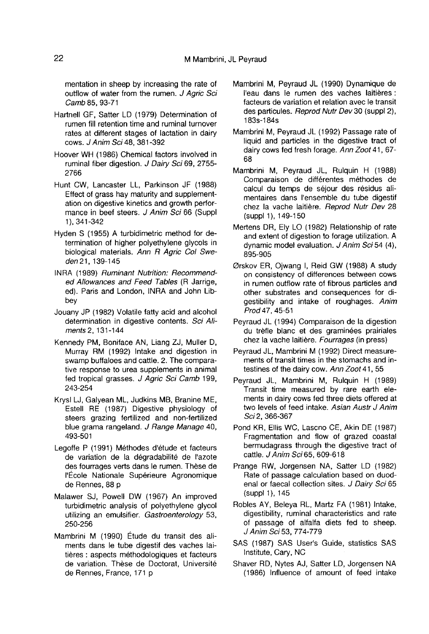mentation in sheep by increasing the rate of outflow of water from the rumen. J Agric Sci Camb 85, 93-71

- Hartnell GF, Satter LD (1979) Determination of rumen fill retention time and ruminal turnover rates at different stages of lactation in dairy cows. J Anim Sci 48, 381-392
- Hoover WH (1986) Chemical factors involved in ruminal fiber digestion. J Dairy Sci 69, 2755- 2766
- Hunt CW, Lancaster LL, Parkinson JF (1988) Effect of grass hay maturity and supplementation on digestive kinetics and growth perfor mance in beef steers. J Anim Sci 66 (Suppl 1 ), 341-342
- Hyden S (1955) A turbidimetric method for determination of higher polyethylene glycols in biological materials. Ann R Agric Col Sweden 21, 139-145
- INRA (1989) Ruminant Nutrition: Recommended Allowances and Feed Tables (R Jarrige, ed). Paris and London, INRA and John Libbey
- Jouany JP (1982) Volatile fatty acid and alcohol determination in digestive contents. Sci Aliments 2, 131-144
- Kennedy PM, Boniface AN, Liang ZJ, Muller D, Murray RM (1992) Intake and digestion in swamp buffaloes and cattle. 2. The comparative response to urea supplements in animal fed tropical grasses. J Agric Sci Camb 199, 243-254
- Krysl LJ, Galyean ML, Judkins MB, Branine ME, Estell RE (1987) Digestive physiology of steers grazing fertilized and non-fertilized blue grama rangeland. J Range Manage 40, 493-501
- Legoffe P (1991) Méthodes d'étude et facteurs de variation de la dégradabilité de l'azote des fourrages verts dans le rumen. These de I'Ecole Nationale Sup6rieure Agronomique de Rennes, 88 p
- Malawer SJ, Powell DW (1967) An improved turbidimetric analysis of polyethylene glycol utilizing an emulsifier. Gastroenterology 53, 250-256
- Mambrini M (1990) Etude du transit des aliments dans le tube digestif des vaches laitières : aspects méthodologiques et facteurs de variation. Thèse de Doctorat, Université de Rennes, France, 171 p
- Mambrini M, Peyraud JL (1990) Dynamique de l'eau dans le rumen des vaches laitières : facteurs de variation et relation avec le transit des particules. Reprod Nutr Dev 30 (suppl 2), 183s-184s
- Mambrini M, Peyraud JL (1992) Passage rate of liquid and particles in the digestive tract of dairy cows fed fresh forage. Ann Zoot 41, 67- 68
- Mambrini M, Peyraud JL, Rulquin H (1988) Comparaison de différentes méthodes de calcul du temps de séjour des résidus alimentaires dans l'ensemble du tube digestif chez la vache laitière. Reprod Nutr Dev 28 (suppl 1), 149-150
- Mertens DR, Ely LO (1982) Relationship of rate and extent of digestion to forage utilization. A dynamic model evaluation. J Anim Sci 54 (4), 895-905
- Ørskov ER, Ojwang I, Reid GW (1988) A study on consistency of differences between cows in rumen outflow rate of fibrous particles and other substrates and consequences for digestibility and intake of roughages. Anim Prod 47, 45-51
- Peyraud JL (1994) Comparaison de la digestion du trèfle blanc et des graminées prairiales chez la vache laitière. Fourrages (in press)
- Peyraud JL, Mambrini M (1992) Direct measurements of transit times in the stomachs and intestines of the dairy cow. Ann Zoot 41, 55
- Peyraud JL, Mambrini M, Rulquin H (1989) Transit time measured by rare earth elements in dairy cows fed three diets offered at two levels of feed intake. Asian Austr J Anim Sci 2, 366-367
- Pond KR, Ellis WC, Lascno CE, Akin DE (1987) Fragmentation and flow of grazed coastal bermudagrass through the digestive tract of cattle. J Anim Sci 65, 609-618
- Prange RW, Jorgensen NA, Satter LD (1982) Rate of passage calculation based on duodenal or faecal collection sites. J Dairy Sci 65 (suppl 1), 145
- Robles AY, Beleya RL, Martz FA (1981) Intake, digestibility, ruminal characteristics and rate of passage of alfalfa diets fed to sheep. J Anim Sci 53, 774-779
- SAS (1987) SAS User's Guide, statistics SAS Institute, Cary, NC
- Shaver RD, Nytes AJ, Satter LD, Jorgensen NA (1986) Influence of amount of feed intake